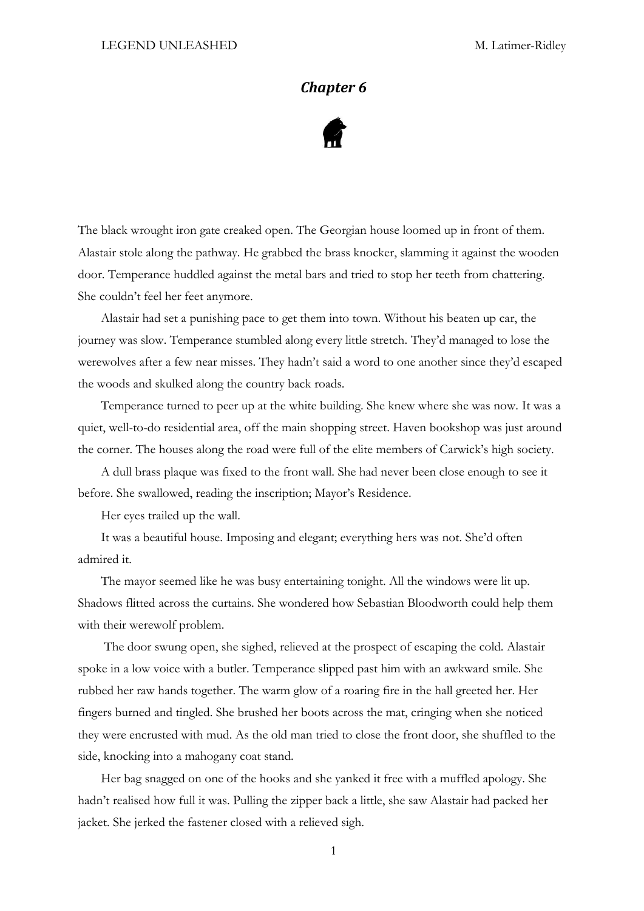## *Chapter 6*



The black wrought iron gate creaked open. The Georgian house loomed up in front of them. Alastair stole along the pathway. He grabbed the brass knocker, slamming it against the wooden door. Temperance huddled against the metal bars and tried to stop her teeth from chattering. She couldn't feel her feet anymore.

Alastair had set a punishing pace to get them into town. Without his beaten up car, the journey was slow. Temperance stumbled along every little stretch. They'd managed to lose the werewolves after a few near misses. They hadn't said a word to one another since they'd escaped the woods and skulked along the country back roads.

Temperance turned to peer up at the white building. She knew where she was now. It was a quiet, well-to-do residential area, off the main shopping street. Haven bookshop was just around the corner. The houses along the road were full of the elite members of Carwick's high society.

A dull brass plaque was fixed to the front wall. She had never been close enough to see it before. She swallowed, reading the inscription; Mayor's Residence.

Her eyes trailed up the wall.

It was a beautiful house. Imposing and elegant; everything hers was not. She'd often admired it.

The mayor seemed like he was busy entertaining tonight. All the windows were lit up. Shadows flitted across the curtains. She wondered how Sebastian Bloodworth could help them with their werewolf problem.

The door swung open, she sighed, relieved at the prospect of escaping the cold. Alastair spoke in a low voice with a butler. Temperance slipped past him with an awkward smile. She rubbed her raw hands together. The warm glow of a roaring fire in the hall greeted her. Her fingers burned and tingled. She brushed her boots across the mat, cringing when she noticed they were encrusted with mud. As the old man tried to close the front door, she shuffled to the side, knocking into a mahogany coat stand.

Her bag snagged on one of the hooks and she yanked it free with a muffled apology. She hadn't realised how full it was. Pulling the zipper back a little, she saw Alastair had packed her jacket. She jerked the fastener closed with a relieved sigh.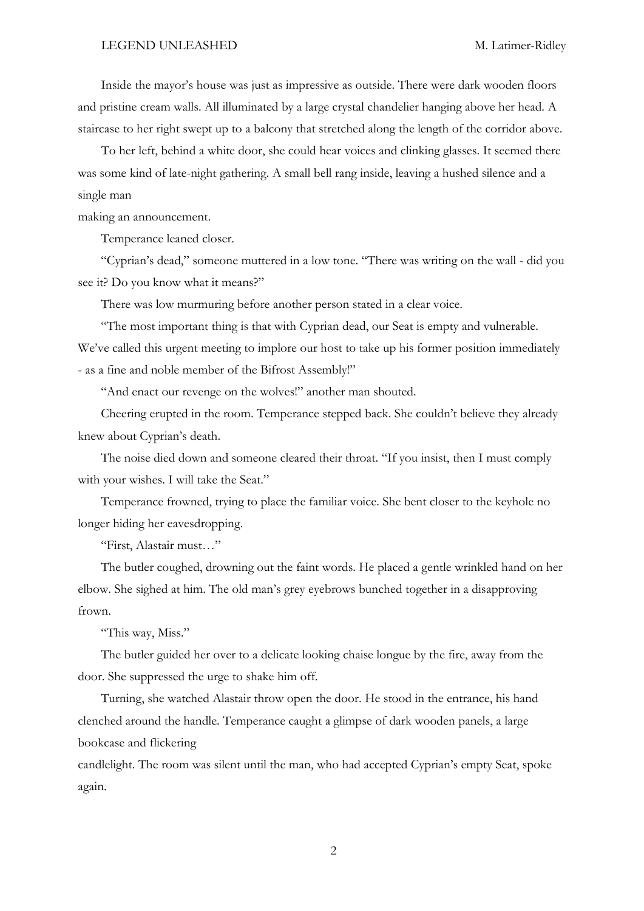Inside the mayor's house was just as impressive as outside. There were dark wooden floors and pristine cream walls. All illuminated by a large crystal chandelier hanging above her head. A staircase to her right swept up to a balcony that stretched along the length of the corridor above.

To her left, behind a white door, she could hear voices and clinking glasses. It seemed there was some kind of late-night gathering. A small bell rang inside, leaving a hushed silence and a single man

making an announcement.

Temperance leaned closer.

"Cyprian's dead," someone muttered in a low tone. "There was writing on the wall - did you see it? Do you know what it means?"

There was low murmuring before another person stated in a clear voice.

"The most important thing is that with Cyprian dead, our Seat is empty and vulnerable. We've called this urgent meeting to implore our host to take up his former position immediately - as a fine and noble member of the Bifrost Assembly!"

"And enact our revenge on the wolves!" another man shouted.

Cheering erupted in the room. Temperance stepped back. She couldn't believe they already knew about Cyprian's death.

The noise died down and someone cleared their throat. "If you insist, then I must comply with your wishes. I will take the Seat."

Temperance frowned, trying to place the familiar voice. She bent closer to the keyhole no longer hiding her eavesdropping.

"First, Alastair must…"

The butler coughed, drowning out the faint words. He placed a gentle wrinkled hand on her elbow. She sighed at him. The old man's grey eyebrows bunched together in a disapproving frown.

"This way, Miss."

The butler guided her over to a delicate looking chaise longue by the fire, away from the door. She suppressed the urge to shake him off.

Turning, she watched Alastair throw open the door. He stood in the entrance, his hand clenched around the handle. Temperance caught a glimpse of dark wooden panels, a large bookcase and flickering

candlelight. The room was silent until the man, who had accepted Cyprian's empty Seat, spoke again.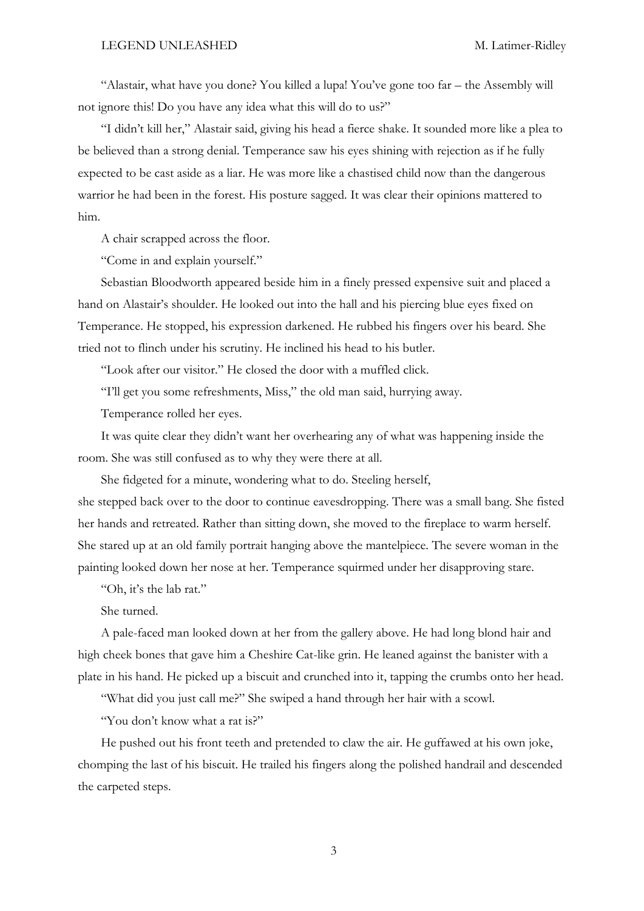"Alastair, what have you done? You killed a lupa! You've gone too far – the Assembly will not ignore this! Do you have any idea what this will do to us?"

"I didn't kill her," Alastair said, giving his head a fierce shake. It sounded more like a plea to be believed than a strong denial. Temperance saw his eyes shining with rejection as if he fully expected to be cast aside as a liar. He was more like a chastised child now than the dangerous warrior he had been in the forest. His posture sagged. It was clear their opinions mattered to him.

A chair scrapped across the floor.

"Come in and explain yourself."

Sebastian Bloodworth appeared beside him in a finely pressed expensive suit and placed a hand on Alastair's shoulder. He looked out into the hall and his piercing blue eyes fixed on Temperance. He stopped, his expression darkened. He rubbed his fingers over his beard. She tried not to flinch under his scrutiny. He inclined his head to his butler.

"Look after our visitor." He closed the door with a muffled click.

"I'll get you some refreshments, Miss," the old man said, hurrying away.

Temperance rolled her eyes.

It was quite clear they didn't want her overhearing any of what was happening inside the room. She was still confused as to why they were there at all.

She fidgeted for a minute, wondering what to do. Steeling herself, she stepped back over to the door to continue eavesdropping. There was a small bang. She fisted her hands and retreated. Rather than sitting down, she moved to the fireplace to warm herself. She stared up at an old family portrait hanging above the mantelpiece. The severe woman in the painting looked down her nose at her. Temperance squirmed under her disapproving stare.

"Oh, it's the lab rat."

She turned.

A pale-faced man looked down at her from the gallery above. He had long blond hair and high cheek bones that gave him a Cheshire Cat-like grin. He leaned against the banister with a plate in his hand. He picked up a biscuit and crunched into it, tapping the crumbs onto her head.

"What did you just call me?" She swiped a hand through her hair with a scowl.

"You don't know what a rat is?"

He pushed out his front teeth and pretended to claw the air. He guffawed at his own joke, chomping the last of his biscuit. He trailed his fingers along the polished handrail and descended the carpeted steps.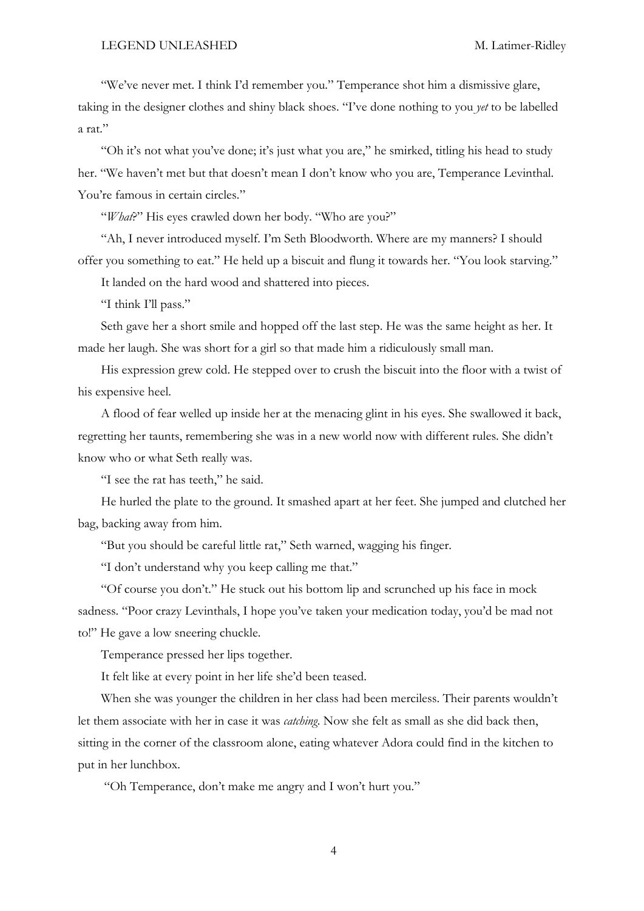"We've never met. I think I'd remember you." Temperance shot him a dismissive glare, taking in the designer clothes and shiny black shoes. "I've done nothing to you *yet* to be labelled a rat."

"Oh it's not what you've done; it's just what you are," he smirked, titling his head to study her. "We haven't met but that doesn't mean I don't know who you are, Temperance Levinthal. You're famous in certain circles."

"*What*?" His eyes crawled down her body. "Who are you?"

"Ah, I never introduced myself. I'm Seth Bloodworth. Where are my manners? I should offer you something to eat." He held up a biscuit and flung it towards her. "You look starving."

It landed on the hard wood and shattered into pieces.

"I think I'll pass."

Seth gave her a short smile and hopped off the last step. He was the same height as her. It made her laugh. She was short for a girl so that made him a ridiculously small man.

His expression grew cold. He stepped over to crush the biscuit into the floor with a twist of his expensive heel.

A flood of fear welled up inside her at the menacing glint in his eyes. She swallowed it back, regretting her taunts, remembering she was in a new world now with different rules. She didn't know who or what Seth really was.

"I see the rat has teeth," he said.

He hurled the plate to the ground. It smashed apart at her feet. She jumped and clutched her bag, backing away from him.

"But you should be careful little rat," Seth warned, wagging his finger.

"I don't understand why you keep calling me that."

"Of course you don't." He stuck out his bottom lip and scrunched up his face in mock sadness. "Poor crazy Levinthals, I hope you've taken your medication today, you'd be mad not to!" He gave a low sneering chuckle.

Temperance pressed her lips together.

It felt like at every point in her life she'd been teased.

When she was younger the children in her class had been merciless. Their parents wouldn't let them associate with her in case it was *catching*. Now she felt as small as she did back then, sitting in the corner of the classroom alone, eating whatever Adora could find in the kitchen to put in her lunchbox.

"Oh Temperance, don't make me angry and I won't hurt you."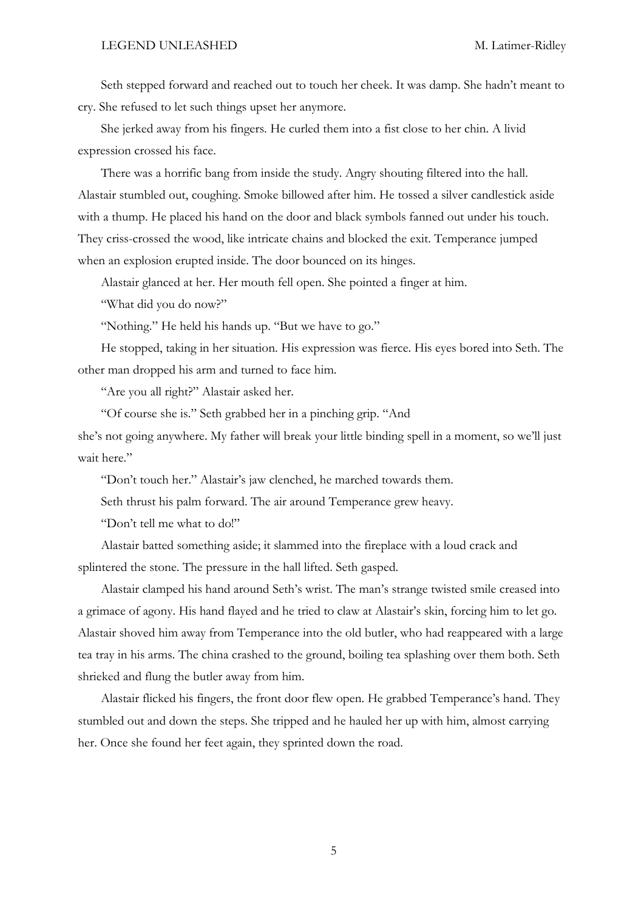Seth stepped forward and reached out to touch her cheek. It was damp. She hadn't meant to cry. She refused to let such things upset her anymore.

She jerked away from his fingers. He curled them into a fist close to her chin. A livid expression crossed his face.

There was a horrific bang from inside the study. Angry shouting filtered into the hall. Alastair stumbled out, coughing. Smoke billowed after him. He tossed a silver candlestick aside with a thump. He placed his hand on the door and black symbols fanned out under his touch. They criss-crossed the wood, like intricate chains and blocked the exit. Temperance jumped when an explosion erupted inside. The door bounced on its hinges.

Alastair glanced at her. Her mouth fell open. She pointed a finger at him.

"What did you do now?"

"Nothing." He held his hands up. "But we have to go."

He stopped, taking in her situation. His expression was fierce. His eyes bored into Seth. The other man dropped his arm and turned to face him.

"Are you all right?" Alastair asked her.

"Of course she is." Seth grabbed her in a pinching grip. "And

she's not going anywhere. My father will break your little binding spell in a moment, so we'll just wait here."

"Don't touch her." Alastair's jaw clenched, he marched towards them.

Seth thrust his palm forward. The air around Temperance grew heavy.

"Don't tell me what to do!"

Alastair batted something aside; it slammed into the fireplace with a loud crack and splintered the stone. The pressure in the hall lifted. Seth gasped.

Alastair clamped his hand around Seth's wrist. The man's strange twisted smile creased into a grimace of agony. His hand flayed and he tried to claw at Alastair's skin, forcing him to let go. Alastair shoved him away from Temperance into the old butler, who had reappeared with a large tea tray in his arms. The china crashed to the ground, boiling tea splashing over them both. Seth shrieked and flung the butler away from him.

Alastair flicked his fingers, the front door flew open. He grabbed Temperance's hand. They stumbled out and down the steps. She tripped and he hauled her up with him, almost carrying her. Once she found her feet again, they sprinted down the road.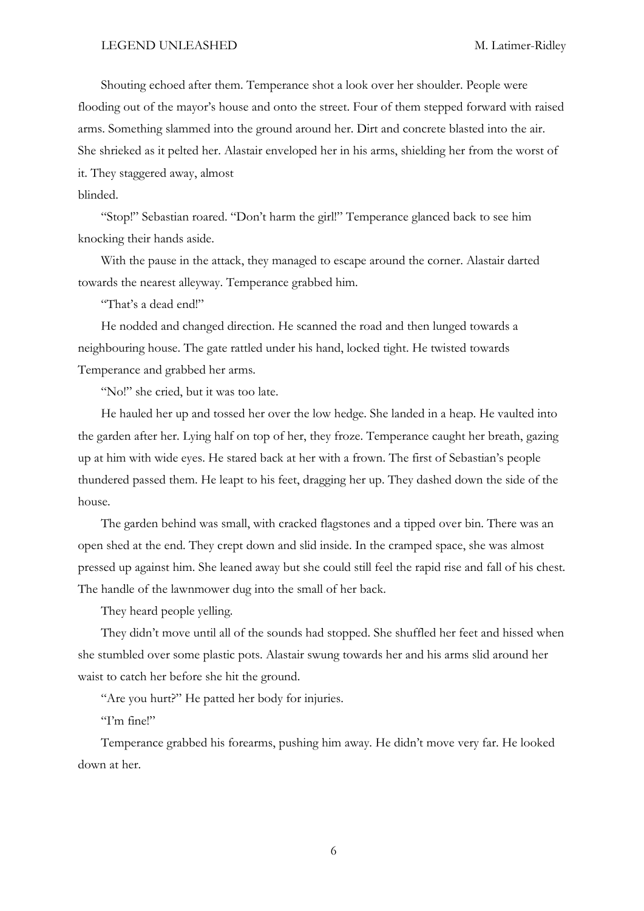Shouting echoed after them. Temperance shot a look over her shoulder. People were flooding out of the mayor's house and onto the street. Four of them stepped forward with raised arms. Something slammed into the ground around her. Dirt and concrete blasted into the air. She shrieked as it pelted her. Alastair enveloped her in his arms, shielding her from the worst of it. They staggered away, almost

# blinded.

"Stop!" Sebastian roared. "Don't harm the girl!" Temperance glanced back to see him knocking their hands aside.

With the pause in the attack, they managed to escape around the corner. Alastair darted towards the nearest alleyway. Temperance grabbed him.

"That's a dead end!"

He nodded and changed direction. He scanned the road and then lunged towards a neighbouring house. The gate rattled under his hand, locked tight. He twisted towards Temperance and grabbed her arms.

"No!" she cried, but it was too late.

He hauled her up and tossed her over the low hedge. She landed in a heap. He vaulted into the garden after her. Lying half on top of her, they froze. Temperance caught her breath, gazing up at him with wide eyes. He stared back at her with a frown. The first of Sebastian's people thundered passed them. He leapt to his feet, dragging her up. They dashed down the side of the house.

The garden behind was small, with cracked flagstones and a tipped over bin. There was an open shed at the end. They crept down and slid inside. In the cramped space, she was almost pressed up against him. She leaned away but she could still feel the rapid rise and fall of his chest. The handle of the lawnmower dug into the small of her back.

They heard people yelling.

They didn't move until all of the sounds had stopped. She shuffled her feet and hissed when she stumbled over some plastic pots. Alastair swung towards her and his arms slid around her waist to catch her before she hit the ground.

"Are you hurt?" He patted her body for injuries.

"I'm fine!"

Temperance grabbed his forearms, pushing him away. He didn't move very far. He looked down at her.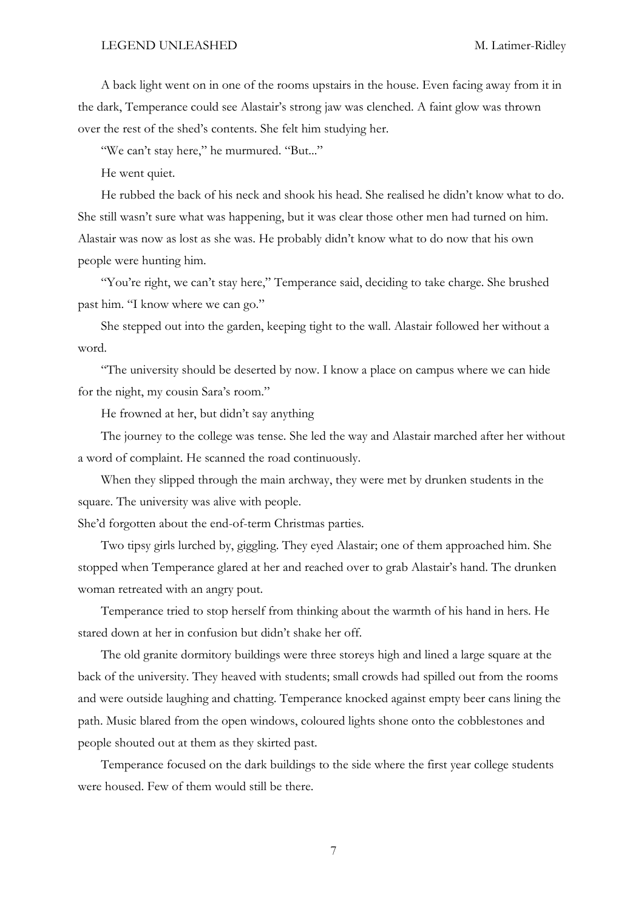A back light went on in one of the rooms upstairs in the house. Even facing away from it in the dark, Temperance could see Alastair's strong jaw was clenched. A faint glow was thrown over the rest of the shed's contents. She felt him studying her.

"We can't stay here," he murmured. "But..."

He went quiet.

He rubbed the back of his neck and shook his head. She realised he didn't know what to do. She still wasn't sure what was happening, but it was clear those other men had turned on him. Alastair was now as lost as she was. He probably didn't know what to do now that his own people were hunting him.

"You're right, we can't stay here," Temperance said, deciding to take charge. She brushed past him. "I know where we can go."

She stepped out into the garden, keeping tight to the wall. Alastair followed her without a word.

"The university should be deserted by now. I know a place on campus where we can hide for the night, my cousin Sara's room."

He frowned at her, but didn't say anything

The journey to the college was tense. She led the way and Alastair marched after her without a word of complaint. He scanned the road continuously.

When they slipped through the main archway, they were met by drunken students in the square. The university was alive with people.

She'd forgotten about the end-of-term Christmas parties.

Two tipsy girls lurched by, giggling. They eyed Alastair; one of them approached him. She stopped when Temperance glared at her and reached over to grab Alastair's hand. The drunken woman retreated with an angry pout.

Temperance tried to stop herself from thinking about the warmth of his hand in hers. He stared down at her in confusion but didn't shake her off.

The old granite dormitory buildings were three storeys high and lined a large square at the back of the university. They heaved with students; small crowds had spilled out from the rooms and were outside laughing and chatting. Temperance knocked against empty beer cans lining the path. Music blared from the open windows, coloured lights shone onto the cobblestones and people shouted out at them as they skirted past.

Temperance focused on the dark buildings to the side where the first year college students were housed. Few of them would still be there.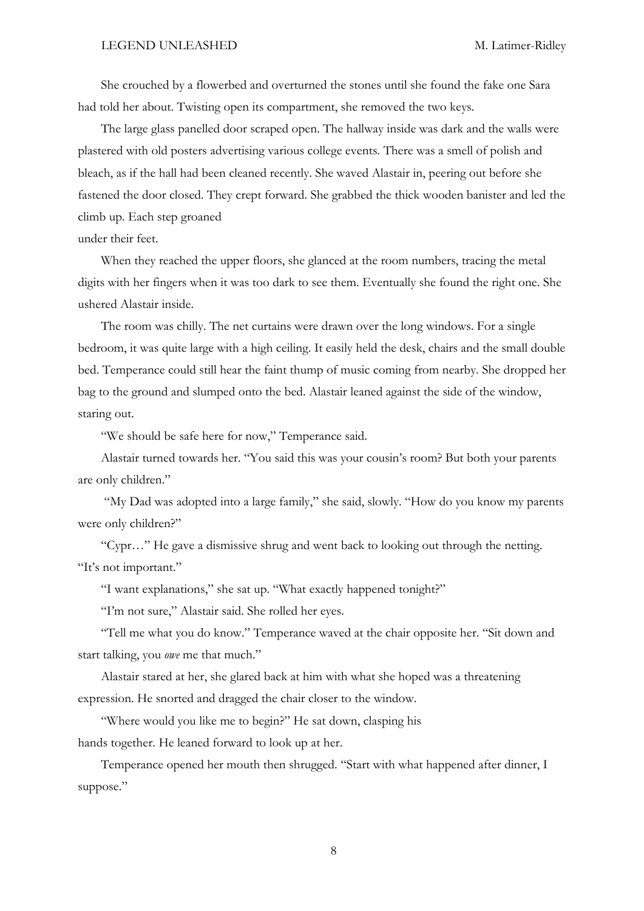She crouched by a flowerbed and overturned the stones until she found the fake one Sara had told her about. Twisting open its compartment, she removed the two keys.

The large glass panelled door scraped open. The hallway inside was dark and the walls were plastered with old posters advertising various college events. There was a smell of polish and bleach, as if the hall had been cleaned recently. She waved Alastair in, peering out before she fastened the door closed. They crept forward. She grabbed the thick wooden banister and led the climb up. Each step groaned

under their feet.

When they reached the upper floors, she glanced at the room numbers, tracing the metal digits with her fingers when it was too dark to see them. Eventually she found the right one. She ushered Alastair inside.

The room was chilly. The net curtains were drawn over the long windows. For a single bedroom, it was quite large with a high ceiling. It easily held the desk, chairs and the small double bed. Temperance could still hear the faint thump of music coming from nearby. She dropped her bag to the ground and slumped onto the bed. Alastair leaned against the side of the window, staring out.

"We should be safe here for now," Temperance said.

Alastair turned towards her. "You said this was your cousin's room? But both your parents are only children."

"My Dad was adopted into a large family," she said, slowly. "How do you know my parents were only children?"

"Cypr…" He gave a dismissive shrug and went back to looking out through the netting. "It's not important."

"I want explanations," she sat up. "What exactly happened tonight?"

"I'm not sure," Alastair said. She rolled her eyes.

"Tell me what you do know." Temperance waved at the chair opposite her. "Sit down and start talking, you *owe* me that much."

Alastair stared at her, she glared back at him with what she hoped was a threatening expression. He snorted and dragged the chair closer to the window.

"Where would you like me to begin?" He sat down, clasping his hands together. He leaned forward to look up at her.

Temperance opened her mouth then shrugged. "Start with what happened after dinner, I suppose."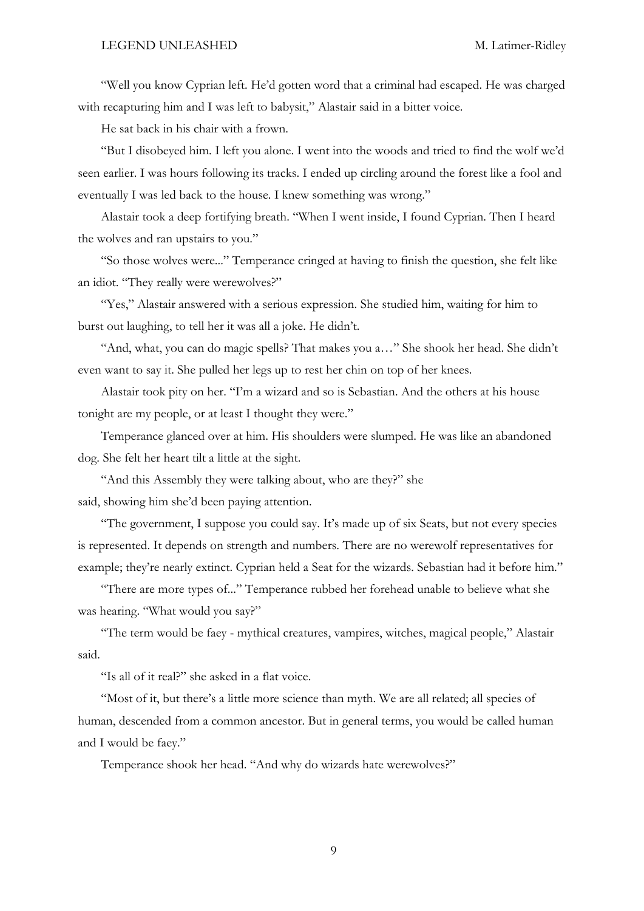"Well you know Cyprian left. He'd gotten word that a criminal had escaped. He was charged with recapturing him and I was left to babysit," Alastair said in a bitter voice.

He sat back in his chair with a frown.

"But I disobeyed him. I left you alone. I went into the woods and tried to find the wolf we'd seen earlier. I was hours following its tracks. I ended up circling around the forest like a fool and eventually I was led back to the house. I knew something was wrong."

Alastair took a deep fortifying breath. "When I went inside, I found Cyprian. Then I heard the wolves and ran upstairs to you."

"So those wolves were..." Temperance cringed at having to finish the question, she felt like an idiot. "They really were werewolves?"

"Yes," Alastair answered with a serious expression. She studied him, waiting for him to burst out laughing, to tell her it was all a joke. He didn't.

"And, what, you can do magic spells? That makes you a…" She shook her head. She didn't even want to say it. She pulled her legs up to rest her chin on top of her knees.

Alastair took pity on her. "I'm a wizard and so is Sebastian. And the others at his house tonight are my people, or at least I thought they were."

Temperance glanced over at him. His shoulders were slumped. He was like an abandoned dog. She felt her heart tilt a little at the sight.

"And this Assembly they were talking about, who are they?" she said, showing him she'd been paying attention.

"The government, I suppose you could say. It's made up of six Seats, but not every species is represented. It depends on strength and numbers. There are no werewolf representatives for example; they're nearly extinct. Cyprian held a Seat for the wizards. Sebastian had it before him."

"There are more types of..." Temperance rubbed her forehead unable to believe what she was hearing. "What would you say?"

"The term would be faey - mythical creatures, vampires, witches, magical people," Alastair said.

"Is all of it real?" she asked in a flat voice.

"Most of it, but there's a little more science than myth. We are all related; all species of human, descended from a common ancestor. But in general terms, you would be called human and I would be faey."

Temperance shook her head. "And why do wizards hate werewolves?"